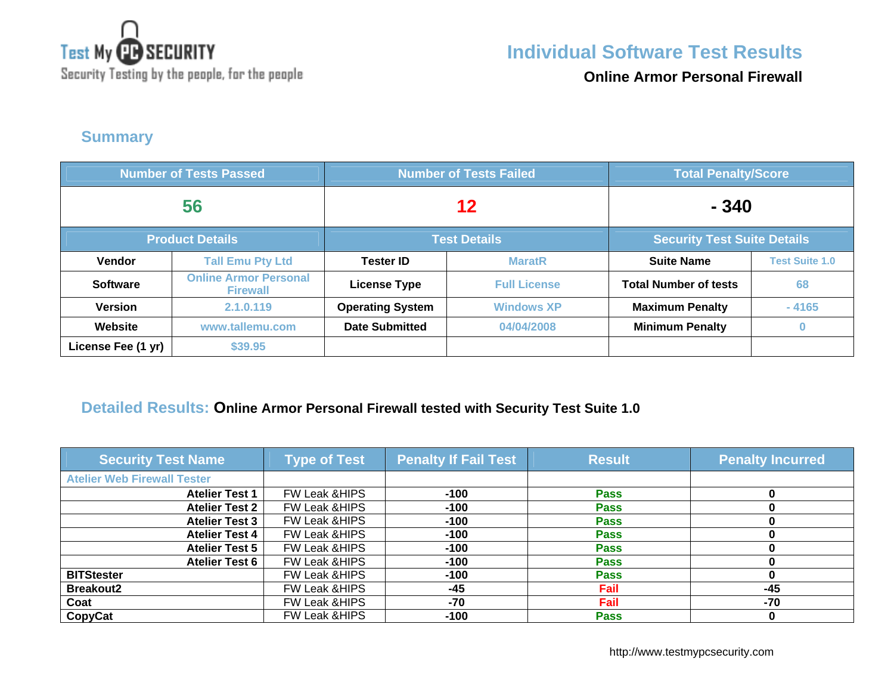

**Online Armor Personal Firewall**

**Summary** 

| <b>Number of Tests Passed</b> |                                                 | <b>Number of Tests Failed</b> |                     | <b>Total Penalty/Score</b>         |                       |
|-------------------------------|-------------------------------------------------|-------------------------------|---------------------|------------------------------------|-----------------------|
| 56                            |                                                 | 12                            |                     | $-340$                             |                       |
|                               | <b>Product Details</b>                          | <b>Test Details</b>           |                     | <b>Security Test Suite Details</b> |                       |
| Vendor                        | <b>Tall Emu Pty Ltd</b>                         | <b>Tester ID</b>              | <b>MaratR</b>       | <b>Suite Name</b>                  | <b>Test Suite 1.0</b> |
| <b>Software</b>               | <b>Online Armor Personal</b><br><b>Firewall</b> | <b>License Type</b>           | <b>Full License</b> | <b>Total Number of tests</b>       | 68                    |
| <b>Version</b>                | 2.1.0.119                                       | <b>Operating System</b>       | <b>Windows XP</b>   | <b>Maximum Penalty</b>             | $-4165$               |
| Website                       | www.tallemu.com                                 | <b>Date Submitted</b>         | 04/04/2008          | <b>Minimum Penalty</b>             | $\bf{0}$              |
| License Fee (1 yr)            | \$39.95                                         |                               |                     |                                    |                       |

### **Detailed Results: Online Armor Personal Firewall tested with Security Test Suite 1.0**

| <b>Security Test Name</b>          | <b>Type of Test</b>      | <b>Penalty If Fail Test</b> | <b>Result</b> | <b>Penalty Incurred</b> |
|------------------------------------|--------------------------|-----------------------------|---------------|-------------------------|
| <b>Atelier Web Firewall Tester</b> |                          |                             |               |                         |
| <b>Atelier Test 1</b>              | <b>FW Leak &amp;HIPS</b> | $-100$                      | <b>Pass</b>   |                         |
| <b>Atelier Test 2</b>              | <b>FW Leak &amp;HIPS</b> | $-100$                      | <b>Pass</b>   |                         |
| <b>Atelier Test 3</b>              | FW Leak & HIPS           | $-100$                      | <b>Pass</b>   |                         |
| <b>Atelier Test 4</b>              | FW Leak & HIPS           | $-100$                      | <b>Pass</b>   |                         |
| <b>Atelier Test 5</b>              | FW Leak & HIPS           | $-100$                      | <b>Pass</b>   |                         |
| <b>Atelier Test 6</b>              | FW Leak & HIPS           | $-100$                      | <b>Pass</b>   |                         |
| <b>BITStester</b>                  | <b>FW Leak &amp;HIPS</b> | $-100$                      | <b>Pass</b>   |                         |
| <b>Breakout2</b>                   | FW Leak & HIPS           | $-45$                       | Fail          | $-45$                   |
| Coat                               | <b>FW Leak &amp;HIPS</b> | -70                         | Fail          | -70                     |
| <b>CopyCat</b>                     | <b>FW Leak &amp;HIPS</b> | -100                        | <b>Pass</b>   |                         |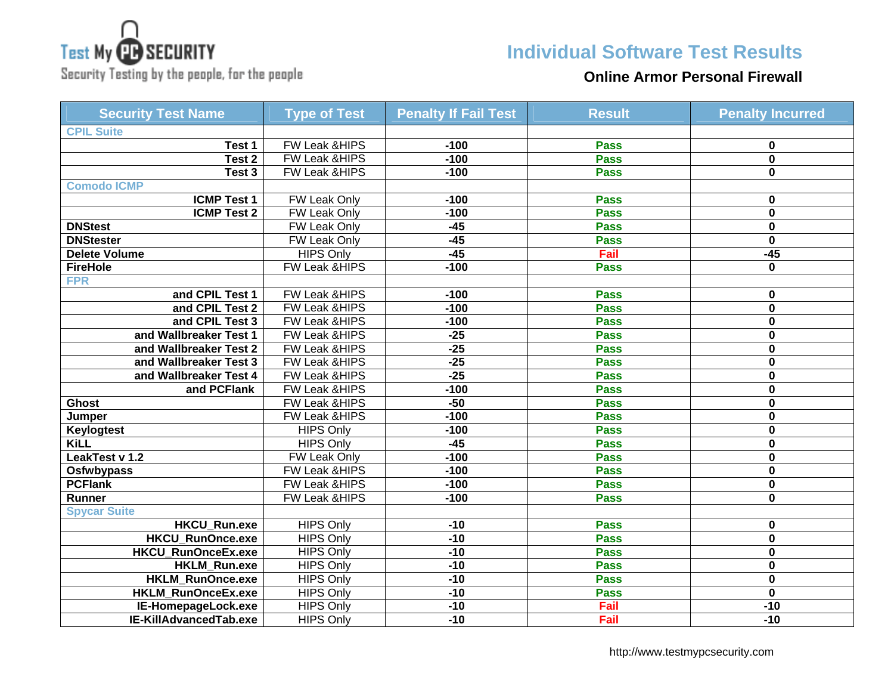# **Test My CB SECURITY**

## Security Testing by the people, for the people

## **Individual Software Test Results**

### **Online Armor Personal Firewall**

| <b>Security Test Name</b>  | <b>Type of Test</b>      | <b>Penalty If Fail Test</b> | <b>Result</b> | <b>Penalty Incurred</b> |
|----------------------------|--------------------------|-----------------------------|---------------|-------------------------|
| <b>CPIL Suite</b>          |                          |                             |               |                         |
| Test 1                     | FW Leak & HIPS           | $-100$                      | <b>Pass</b>   | 0                       |
| Test 2                     | <b>FW Leak &amp;HIPS</b> | $-100$                      | <b>Pass</b>   | $\mathbf{0}$            |
| Test 3                     | <b>FW Leak &amp;HIPS</b> | $-100$                      | <b>Pass</b>   | 0                       |
| <b>Comodo ICMP</b>         |                          |                             |               |                         |
| <b>ICMP Test 1</b>         | FW Leak Only             | $-100$                      | <b>Pass</b>   | 0                       |
| <b>ICMP Test 2</b>         | <b>FW Leak Only</b>      | $-100$                      | <b>Pass</b>   | $\mathbf 0$             |
| <b>DNStest</b>             | FW Leak Only             | $-45$                       | <b>Pass</b>   | $\bf{0}$                |
| <b>DNStester</b>           | FW Leak Only             | $-45$                       | <b>Pass</b>   | $\mathbf 0$             |
| <b>Delete Volume</b>       | <b>HIPS Only</b>         | $-45$                       | Fail          | $-45$                   |
| <b>FireHole</b>            | <b>FW Leak &amp;HIPS</b> | $-100$                      | <b>Pass</b>   | 0                       |
| <b>FPR</b>                 |                          |                             |               |                         |
| and CPIL Test 1            | <b>FW Leak &amp;HIPS</b> | $-100$                      | <b>Pass</b>   | 0                       |
| and CPIL Test 2            | FW Leak & HIPS           | $-100$                      | <b>Pass</b>   | $\mathbf 0$             |
| and CPIL Test 3            | <b>FW Leak &amp;HIPS</b> | $-100$                      | <b>Pass</b>   | $\bf{0}$                |
| and Wallbreaker Test 1     | <b>FW Leak &amp;HIPS</b> | $-25$                       | <b>Pass</b>   | $\mathbf{0}$            |
| and Wallbreaker Test 2     | FW Leak &HIPS            | $-25$                       | <b>Pass</b>   | $\mathbf 0$             |
| and Wallbreaker Test 3     | FW Leak &HIPS            | $-25$                       | <b>Pass</b>   | 0                       |
| and Wallbreaker Test 4     | FW Leak &HIPS            | $-25$                       | <b>Pass</b>   | 0                       |
| and PCFlank                | <b>FW Leak &amp;HIPS</b> | $-100$                      | <b>Pass</b>   | $\bf{0}$                |
| <b>Ghost</b>               | <b>FW Leak &amp;HIPS</b> | $-50$                       | <b>Pass</b>   | $\bf{0}$                |
| Jumper                     | <b>FW Leak &amp;HIPS</b> | $-100$                      | <b>Pass</b>   | $\bf{0}$                |
| <b>Keylogtest</b>          | <b>HIPS Only</b>         | $-100$                      | <b>Pass</b>   | $\mathbf 0$             |
| <b>KiLL</b>                | <b>HIPS Only</b>         | $-45$                       | <b>Pass</b>   | 0                       |
| LeakTest v 1.2             | FW Leak Only             | $-100$                      | <b>Pass</b>   | 0                       |
| <b>Osfwbypass</b>          | <b>FW Leak &amp;HIPS</b> | $-100$                      | <b>Pass</b>   | 0                       |
| <b>PCFlank</b>             | <b>FW Leak &amp;HIPS</b> | $-100$                      | <b>Pass</b>   | $\mathbf 0$             |
| Runner                     | FW Leak &HIPS            | $-100$                      | <b>Pass</b>   | $\mathbf 0$             |
| <b>Spycar Suite</b>        |                          |                             |               |                         |
| <b>HKCU_Run.exe</b>        | <b>HIPS Only</b>         | $-10$                       | <b>Pass</b>   | 0                       |
| <b>HKCU RunOnce.exe</b>    | <b>HIPS Only</b>         | $-10$                       | <b>Pass</b>   | $\mathbf{0}$            |
| <b>HKCU RunOnceEx.exe</b>  | <b>HIPS Only</b>         | $-10$                       | <b>Pass</b>   | $\mathbf{0}$            |
| <b>HKLM_Run.exe</b>        | <b>HIPS Only</b>         | $-10$                       | <b>Pass</b>   | $\mathbf 0$             |
| HKLM_RunOnce.exe           | <b>HIPS Only</b>         | $-10$                       | <b>Pass</b>   | $\bf{0}$                |
| HKLM_RunOnceEx.exe         | <b>HIPS Only</b>         | $-10$                       | <b>Pass</b>   | $\mathbf 0$             |
| <b>IE-HomepageLock.exe</b> | <b>HIPS Only</b>         | $-10$                       | Fail          | $-10$                   |
| IE-KillAdvancedTab.exe     | <b>HIPS Only</b>         | $-10$                       | Fail          | $-10$                   |